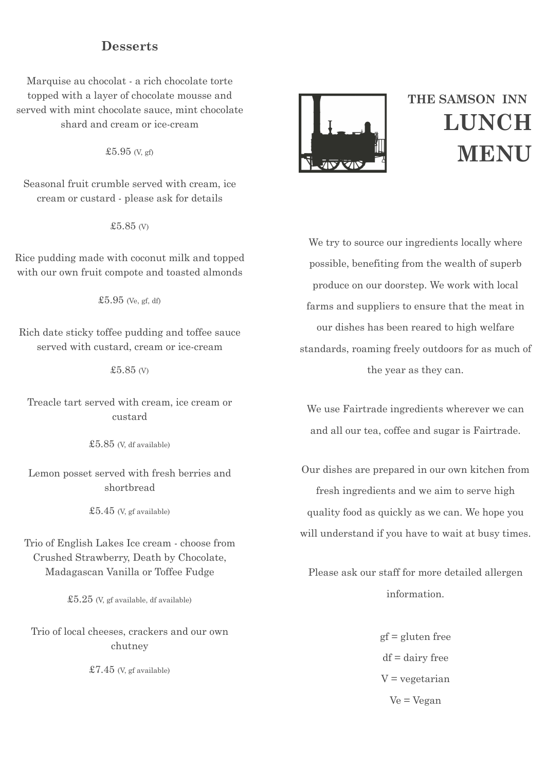## **Desserts**

Marquise au chocolat - a rich chocolate torte topped with a layer of chocolate mousse and served with mint chocolate sauce, mint chocolate shard and cream or ice-cream

£5.95 (V, gf)

Seasonal fruit crumble served with cream, ice cream or custard - please ask for details

£5.85 (V)

Rice pudding made with coconut milk and topped with our own fruit compote and toasted almonds

£5.95 (Ve, gf, df)

Rich date sticky toffee pudding and toffee sauce served with custard, cream or ice-cream

£5.85 (V)

Treacle tart served with cream, ice cream or custard

£5.85 (V, df available)

Lemon posset served with fresh berries and shortbread

£5.45 (V, gf available)

Trio of English Lakes Ice cream - choose from Crushed Strawberry, Death by Chocolate, Madagascan Vanilla or Toffee Fudge

 $£5.25$  (V, gf available, df available)

Trio of local cheeses, crackers and our own chutney

 $$7.45$  (V, gf available)



# **THE SAMSON INN LUNCH MENU**

We try to source our ingredients locally where possible, benefiting from the wealth of superb produce on our doorstep. We work with local farms and suppliers to ensure that the meat in our dishes has been reared to high welfare standards, roaming freely outdoors for as much of the year as they can.

We use Fairtrade ingredients wherever we can and all our tea, coffee and sugar is Fairtrade.

Our dishes are prepared in our own kitchen from fresh ingredients and we aim to serve high quality food as quickly as we can. We hope you will understand if you have to wait at busy times.

Please ask our staff for more detailed allergen information.

> gf = gluten free  $df = dairv$  free  $V = v$ egetarian Ve = Vegan